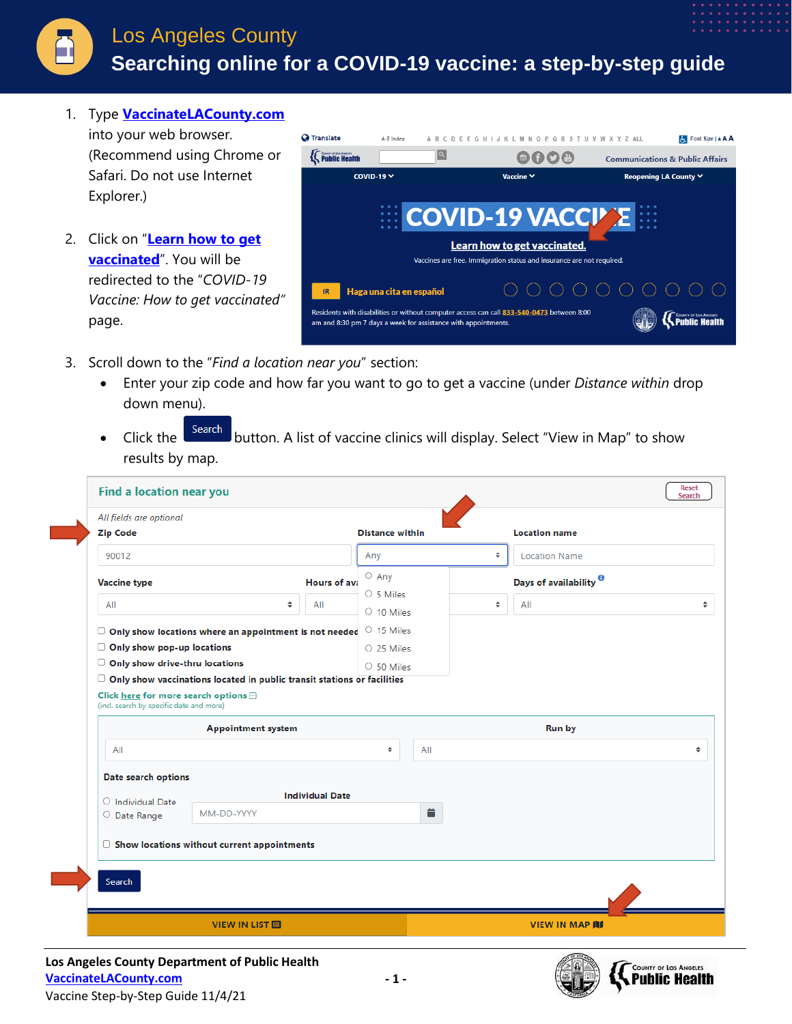

## Los Angeles County  **Searching online for a COVID-19 vaccine: a step-by-step guide**

1. Type **[VaccinateLACounty.com](http://www.publichealth.lacounty.gov/media/Coronavirus/vaccine/index.htm)**

into your web browser. (Recommend using Chrome or Safari. Do not use Internet Explorer.)

2. Click on "**[Learn how to get](http://publichealth.lacounty.gov/acd/ncorona2019/vaccine/hcwsignup/)  [vaccinated](http://publichealth.lacounty.gov/acd/ncorona2019/vaccine/hcwsignup/)**". You will be redirected to the "*COVID-19 Vaccine: How to get vaccinated"*  page.



- 3. Scroll down to the "*Find a location near you*" section:
	- Enter your zip code and how far you want to go to get a vaccine (under *Distance within* drop down menu).
	- Click the search button. A list of vaccine clinics will display. Select "View in Map" to show results by map.

|                                          |                                                                                |                        | <b>Distance within</b>        |   | <b>Location name</b>              |  |
|------------------------------------------|--------------------------------------------------------------------------------|------------------------|-------------------------------|---|-----------------------------------|--|
| 90012                                    |                                                                                |                        | Any                           | ÷ | <b>Location Name</b>              |  |
| <b>Vaccine type</b>                      |                                                                                | Hours of ava           | $\circ$ Any                   |   | Days of availability <sup>0</sup> |  |
| All                                      | $\hat{=}$                                                                      | All                    | ○ 5 Miles<br>$\circ$ 10 Miles | ÷ | All                               |  |
|                                          |                                                                                |                        | O 15 Miles                    |   |                                   |  |
| $\Box$ Only show pop-up locations        | $\Box$ Only show locations where an appointment is not needed                  |                        | O 25 Miles                    |   |                                   |  |
| Only show drive-thru locations<br>U      |                                                                                | $O$ 50 Miles           |                               |   |                                   |  |
|                                          | $\Box$ Only show vaccinations located in public transit stations or facilities |                        |                               |   |                                   |  |
| (incl. search by specific date and more) | <b>Appointment system</b>                                                      |                        |                               |   | <b>Run by</b>                     |  |
|                                          |                                                                                |                        | $\div$<br>All                 |   |                                   |  |
| All                                      |                                                                                |                        |                               |   |                                   |  |
| Date search options                      |                                                                                |                        |                               |   |                                   |  |
| $\circ$ Individual Date                  |                                                                                | <b>Individual Date</b> |                               |   |                                   |  |
| O Date Range                             | MM-DD-YYYY                                                                     |                        | ö                             |   |                                   |  |
|                                          |                                                                                |                        |                               |   |                                   |  |
|                                          | $\Box$ Show locations without current appointments                             |                        |                               |   |                                   |  |
| <b>Search</b>                            |                                                                                |                        |                               |   |                                   |  |

**Los Angeles County Department of Public Health [VaccinateLACounty.com](http://www.publichealth.lacounty.gov/media/Coronavirus/vaccine/index.htm)** Vaccine Step-by-Step Guide 11/4/21